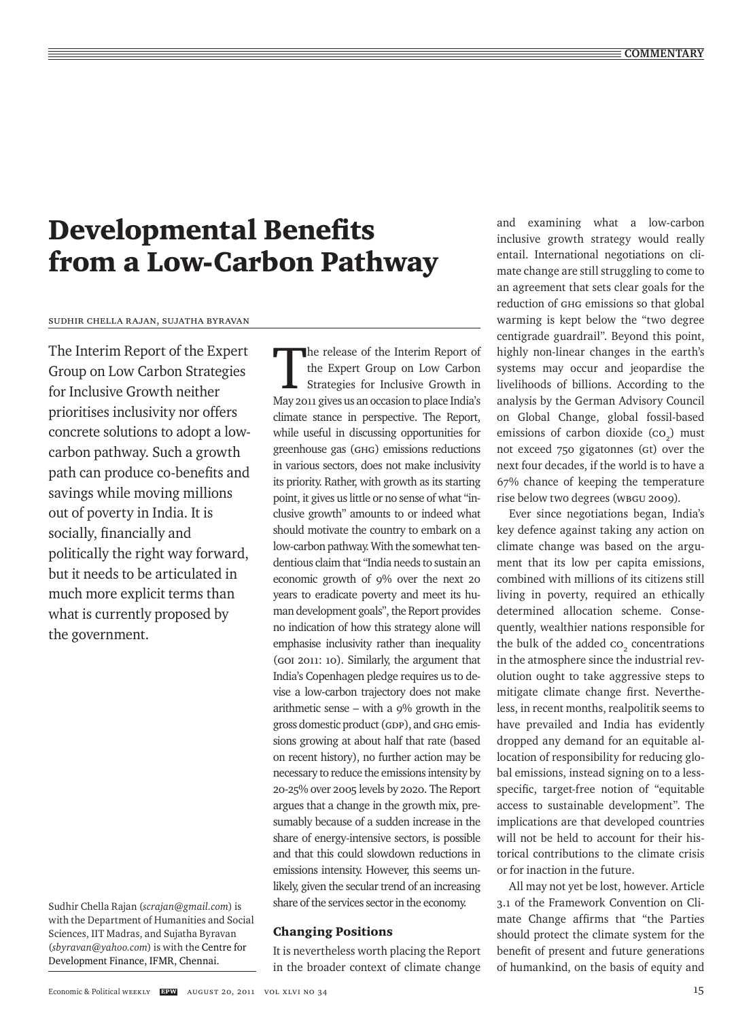# Developmental Benefits from a Low-Carbon Pathway

Sudhir Chella Rajan, Sujatha Byravan

The Interim Report of the Expert Group on Low Carbon Strategies for Inclusive Growth neither prioritises inclusivity nor offers concrete solutions to adopt a lowcarbon pathway. Such a growth path can produce co-benefits and savings while moving millions out of poverty in India. It is socially, financially and politically the right way forward, but it needs to be articulated in much more explicit terms than what is currently proposed by the government.

Sudhir Chella Rajan (*scrajan@gmail.com*) is with the Department of Humanities and Social Sciences, IIT Madras, and Sujatha Byravan (*sbyravan@yahoo.com*) is with the Centre for Development Finance, IFMR, Chennai.

The release of the Interim Report of the Expert Group on Low Carbon Strategies for Inclusive Growth in May 2011 gives us an occasion to place India's climate stance in perspective. The Report, while useful in discussing opportunities for greenhouse gas (GHG) emissions reductions in various sectors, does not make inclusivity its priority. Rather, with growth as its starting point, it gives us little or no sense of what "inclusive growth" amounts to or indeed what should motivate the country to embark on a low-carbon pathway. With the somewhat tendentious claim that "India needs to sustain an economic growth of 9% over the next 20 years to eradicate poverty and meet its human development goals", the Report provides no indication of how this strategy alone will emphasise inclusivity rather than inequality (GoI 2011: 10). Similarly, the argument that India's Copenhagen pledge requires us to devise a low-carbon trajectory does not make arithmetic sense – with a 9% growth in the gross domestic product (GDP), and GHG emissions growing at about half that rate (based on recent history), no further action may be necessary to reduce the emissions intensity by 20-25% over 2005 levels by 2020. The Report argues that a change in the growth mix, presumably because of a sudden increase in the share of energy-intensive sectors, is possible and that this could slowdown reductions in emissions intensity. However, this seems unlikely, given the secular trend of an increasing share of the services sector in the economy.

#### Changing Positions

It is nevertheless worth placing the Report in the broader context of climate change and examining what a low-carbon inclusive growth strategy would really entail. International negotiations on climate change are still struggling to come to an agreement that sets clear goals for the reduction of GHG emissions so that global warming is kept below the "two degree centigrade guardrail". Beyond this point, highly non-linear changes in the earth's systems may occur and jeopardise the livelihoods of billions. According to the analysis by the German Advisory Council on Global Change, global fossil-based emissions of carbon dioxide  $(co<sub>2</sub>)$  must not exceed 750 gigatonnes (Gt) over the next four decades, if the world is to have a 67% chance of keeping the temperature rise below two degrees (WBGU 2009).

Ever since negotiations began, India's key defence against taking any action on climate change was based on the argument that its low per capita emissions, combined with millions of its citizens still living in poverty, required an ethically determined allocation scheme. Consequently, wealthier nations responsible for the bulk of the added  $co<sub>2</sub>$  concentrations in the atmosphere since the industrial revolution ought to take aggressive steps to mitigate climate change first. Nevertheless, in recent months, realpolitik seems to have prevailed and India has evidently dropped any demand for an equitable allocation of responsibility for reducing global emissions, instead signing on to a lessspecific, target-free notion of "equitable access to sustainable development". The implications are that developed countries will not be held to account for their historical contributions to the climate crisis or for inaction in the future.

All may not yet be lost, however. Article 3.1 of the Framework Convention on Climate Change affirms that "the Parties should protect the climate system for the benefit of present and future generations of humankind, on the basis of equity and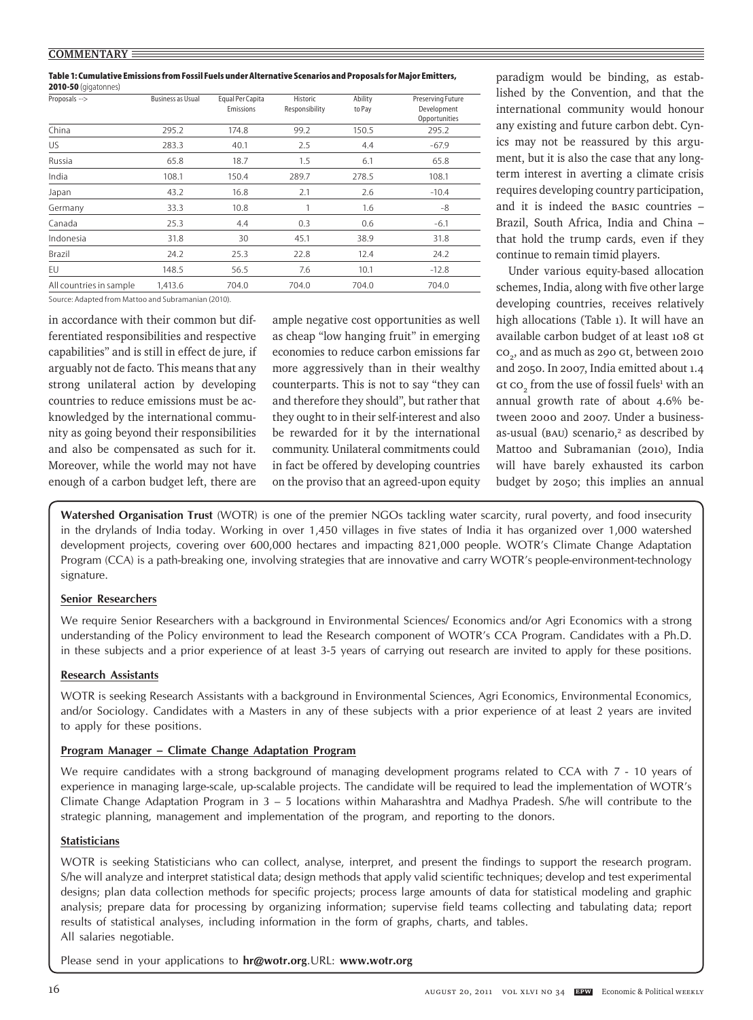**Table 1: Cumulative Emissions from Fossil Fuels under Alternative Scenarios and Proposals for Major Emitters, 2010-50** (gigatonnes)

| Proposals -->           | <b>Business as Usual</b> | Equal Per Capita<br>Emissions | Historic<br>Responsibility | Ability<br>to Pay | Preserving Future<br>Development<br>Opportunities |
|-------------------------|--------------------------|-------------------------------|----------------------------|-------------------|---------------------------------------------------|
| China                   | 295.2                    | 174.8                         | 99.2                       | 150.5             | 295.2                                             |
| US.                     | 283.3                    | 40.1                          | 2.5                        | 4.4               | $-67.9$                                           |
| Russia                  | 65.8                     | 18.7                          | 1.5                        | 6.1               | 65.8                                              |
| India                   | 108.1                    | 150.4                         | 289.7                      | 278.5             | 108.1                                             |
| Japan                   | 43.2                     | 16.8                          | 2.1                        | 2.6               | $-10.4$                                           |
| Germany                 | 33.3                     | 10.8                          |                            | 1.6               | $-8$                                              |
| Canada                  | 25.3                     | 4.4                           | 0.3                        | 0.6               | $-6.1$                                            |
| Indonesia               | 31.8                     | 30                            | 45.1                       | 38.9              | 31.8                                              |
| Brazil                  | 24.2                     | 25.3                          | 22.8                       | 12.4              | 24.2                                              |
| EU                      | 148.5                    | 56.5                          | 7.6                        | 10.1              | $-12.8$                                           |
| All countries in sample | 1,413.6                  | 704.0                         | 704.0                      | 704.0             | 704.0                                             |

Source: Adapted from Mattoo and Subramanian (2010).

in accordance with their common but differentiated responsibilities and respective capabilities" and is still in effect de jure*,* if arguably not de facto*.* This means that any strong unilateral action by developing countries to reduce emissions must be acknowledged by the international community as going beyond their responsibilities and also be compensated as such for it. Moreover, while the world may not have enough of a carbon budget left, there are

ample negative cost opportunities as well as cheap "low hanging fruit" in emerging economies to reduce carbon emissions far more aggressively than in their wealthy counterparts. This is not to say "they can and therefore they should", but rather that they ought to in their self-interest and also be rewarded for it by the international community. Unilateral commitments could in fact be offered by developing countries on the proviso that an agreed-upon equity

paradigm would be binding, as established by the Convention, and that the international community would honour any existing and future carbon debt. Cynics may not be reassured by this argument, but it is also the case that any longterm interest in averting a climate crisis requires developing country participation, and it is indeed the BASIC countries – Brazil, South Africa, India and China – that hold the trump cards, even if they continue to remain timid players.

Under various equity-based allocation schemes, India, along with five other large developing countries, receives relatively high allocations (Table 1). It will have an available carbon budget of at least 108 Gt  $co<sub>2</sub>$ , and as much as 290 Gt, between 2010 and 2050. In 2007, India emitted about 1.4  $\rm{ct}$   $\rm{co}_{_2}$  from the use of fossil fuels<sup>1</sup> with an annual growth rate of about 4.6% between 2000 and 2007. Under a businessas-usual (BAU) scenario,<sup>2</sup> as described by Mattoo and Subramanian (2010), India will have barely exhausted its carbon budget by 2050; this implies an annual

**Watershed Organisation Trust** (WOTR) is one of the premier NGOs tackling water scarcity, rural poverty, and food insecurity in the drylands of India today. Working in over 1,450 villages in five states of India it has organized over 1,000 watershed development projects, covering over 600,000 hectares and impacting 821,000 people. WOTR's Climate Change Adaptation Program (CCA) is a path-breaking one, involving strategies that are innovative and carry WOTR's people-environment-technology signature.

#### **Senior Researchers**

We require Senior Researchers with a background in Environmental Sciences/ Economics and/or Agri Economics with a strong understanding of the Policy environment to lead the Research component of WOTR's CCA Program. Candidates with a Ph.D. in these subjects and a prior experience of at least 3-5 years of carrying out research are invited to apply for these positions.

## **Research Assistants**

WOTR is seeking Research Assistants with a background in Environmental Sciences, Agri Economics, Environmental Economics, and/or Sociology. Candidates with a Masters in any of these subjects with a prior experience of at least 2 years are invited to apply for these positions.

## **Program Manager – Climate Change Adaptation Program**

We require candidates with a strong background of managing development programs related to CCA with 7 - 10 years of experience in managing large-scale, up-scalable projects. The candidate will be required to lead the implementation of WOTR's Climate Change Adaptation Program in 3 – 5 locations within Maharashtra and Madhya Pradesh. S/he will contribute to the strategic planning, management and implementation of the program, and reporting to the donors.

## **Statisticians**

WOTR is seeking Statisticians who can collect, analyse, interpret, and present the findings to support the research program. S/he will analyze and interpret statistical data; design methods that apply valid scientific techniques; develop and test experimental designs; plan data collection methods for specific projects; process large amounts of data for statistical modeling and graphic analysis; prepare data for processing by organizing information; supervise field teams collecting and tabulating data; report results of statistical analyses, including information in the form of graphs, charts, and tables. All salaries negotiable.

Please send in your applications to **hr@wotr.org**.URL: **www.wotr.org**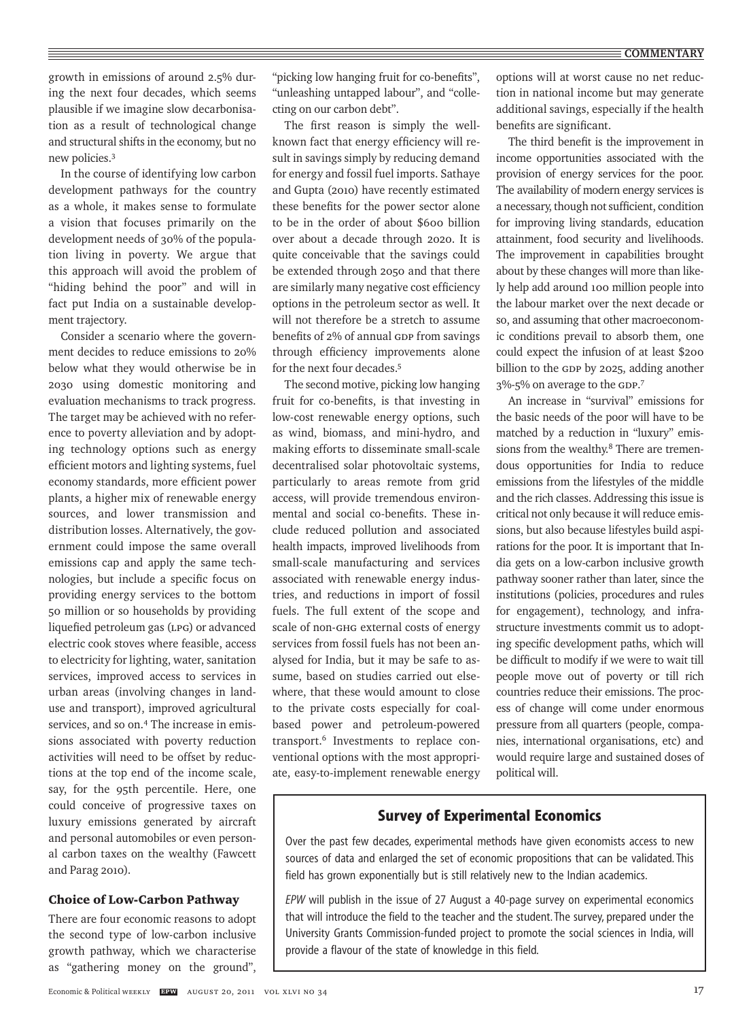growth in emissions of around 2.5% during the next four decades, which seems plausible if we imagine slow decarbonisation as a result of technological change and structural shifts in the economy, but no new policies.3

In the course of identifying low carbon development pathways for the country as a whole, it makes sense to formulate a vision that focuses primarily on the development needs of 30% of the population living in poverty. We argue that this approach will avoid the problem of "hiding behind the poor" and will in fact put India on a sustainable development trajectory.

Consider a scenario where the government decides to reduce emissions to 20% below what they would otherwise be in 2030 using domestic monitoring and evaluation mechanisms to track progress. The target may be achieved with no reference to poverty alleviation and by adopting technology options such as energy efficient motors and lighting systems, fuel economy standards, more efficient power plants, a higher mix of renewable energy sources, and lower transmission and distribution losses. Alternatively, the government could impose the same overall emissions cap and apply the same technologies, but include a specific focus on providing energy services to the bottom 50 million or so households by providing liquefied petroleum gas (LPG) or advanced electric cook stoves where feasible, access to electricity for lighting, water, sanitation services, improved access to services in urban areas (involving changes in landuse and transport), improved agricultural services, and so on.4 The increase in emissions associated with poverty reduction activities will need to be offset by reductions at the top end of the income scale, say, for the 95th percentile. Here, one could conceive of progressive taxes on luxury emissions generated by aircraft and personal automobiles or even personal carbon taxes on the wealthy (Fawcett and Parag 2010).

#### Choice of Low-Carbon Pathway

There are four economic reasons to adopt the second type of low-carbon inclusive growth pathway, which we characterise as "gathering money on the ground",

"picking low hanging fruit for co-benefits", "unleashing untapped labour", and "collecting on our carbon debt".

The first reason is simply the wellknown fact that energy efficiency will result in savings simply by reducing demand for energy and fossil fuel imports. Sathaye and Gupta (2010) have recently estimated these benefits for the power sector alone to be in the order of about \$600 billion over about a decade through 2020. It is quite conceivable that the savings could be extended through 2050 and that there are similarly many negative cost efficiency options in the petroleum sector as well. It will not therefore be a stretch to assume benefits of 2% of annual GDP from savings through efficiency improvements alone for the next four decades.5

The second motive, picking low hanging fruit for co-benefits, is that investing in low-cost renewable energy options, such as wind, biomass, and mini-hydro, and making efforts to disseminate small-scale decentralised solar photovoltaic systems, particularly to areas remote from grid access, will provide tremendous environmental and social co-benefits. These include reduced pollution and associated health impacts, improved livelihoods from small-scale manufacturing and services associated with renewable energy industries, and reductions in import of fossil fuels. The full extent of the scope and scale of non-GHG external costs of energy services from fossil fuels has not been analysed for India, but it may be safe to assume, based on studies carried out elsewhere, that these would amount to close to the private costs especially for coalbased power and petroleum-powered transport.6 Investments to replace conventional options with the most appropriate, easy-to-implement renewable energy

options will at worst cause no net reduction in national income but may generate additional savings, especially if the health benefits are significant.

The third benefit is the improvement in income opportunities associated with the provision of energy services for the poor. The availability of modern energy services is a necessary, though not sufficient, condition for improving living standards, education attainment, food security and livelihoods. The improvement in capabilities brought about by these changes will more than likely help add around 100 million people into the labour market over the next decade or so, and assuming that other macroeconomic conditions prevail to absorb them, one could expect the infusion of at least \$200 billion to the GDP by 2025, adding another 3%-5% on average to the GDP. 7

An increase in "survival" emissions for the basic needs of the poor will have to be matched by a reduction in "luxury" emissions from the wealthy.<sup>8</sup> There are tremendous opportunities for India to reduce emissions from the lifestyles of the middle and the rich classes. Addressing this issue is critical not only because it will reduce emissions, but also because lifestyles build aspirations for the poor. It is important that India gets on a low-carbon inclusive growth pathway sooner rather than later, since the institutions (policies, procedures and rules for engagement), technology, and infrastructure investments commit us to adopting specific development paths, which will be difficult to modify if we were to wait till people move out of poverty or till rich countries reduce their emissions. The process of change will come under enormous pressure from all quarters (people, companies, international organisations, etc) and would require large and sustained doses of political will.

## **Survey of Experimental Economics**

Over the past few decades, experimental methods have given economists access to new sources of data and enlarged the set of economic propositions that can be validated. This field has grown exponentially but is still relatively new to the Indian academics.

*EPW* will publish in the issue of 27 August a 40-page survey on experimental economics that will introduce the field to the teacher and the student. The survey, prepared under the University Grants Commission-funded project to promote the social sciences in India, will provide a flavour of the state of knowledge in this field.